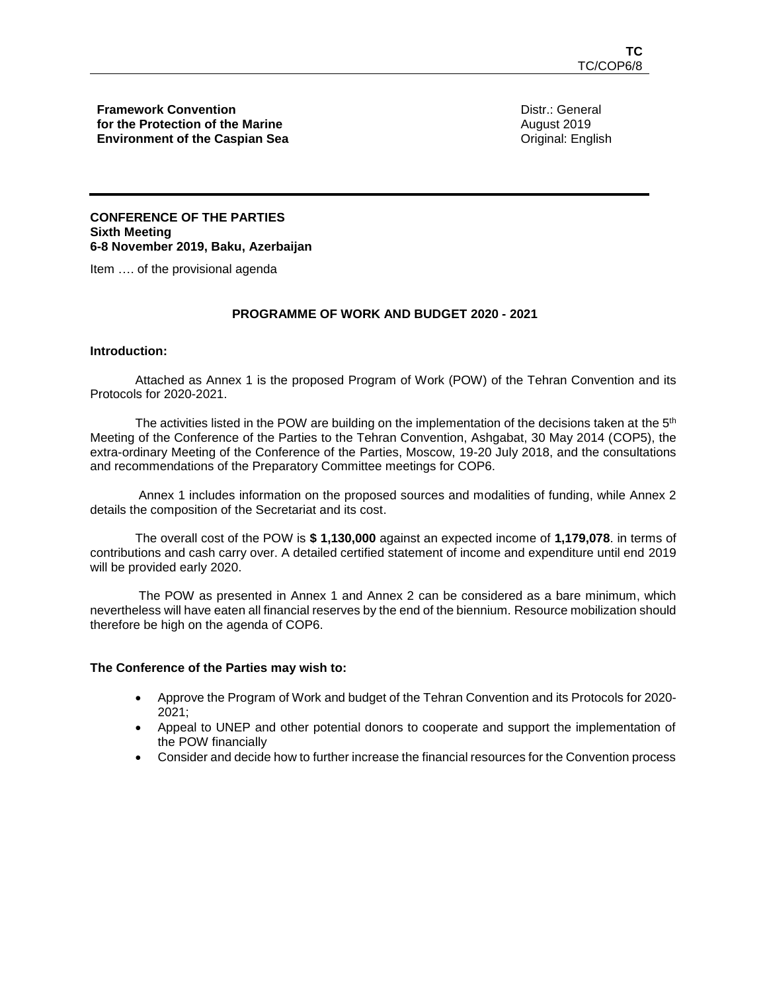**Framework Convention for the Protection of the Marine Environment of the Caspian Sea** Distr.: General August 2019 Original: English

# **CONFERENCE OF THE PARTIES Sixth Meeting 6-8 November 2019, Baku, Azerbaijan**

Item …. of the provisional agenda

## **PROGRAMME OF WORK AND BUDGET 2020 - 2021**

## **Introduction:**

Attached as Annex 1 is the proposed Program of Work (POW) of the Tehran Convention and its Protocols for 2020-2021.

The activities listed in the POW are building on the implementation of the decisions taken at the  $5<sup>th</sup>$ Meeting of the Conference of the Parties to the Tehran Convention, Ashgabat, 30 May 2014 (COP5), the extra-ordinary Meeting of the Conference of the Parties, Moscow, 19-20 July 2018, and the consultations and recommendations of the Preparatory Committee meetings for COP6.

Annex 1 includes information on the proposed sources and modalities of funding, while Annex 2 details the composition of the Secretariat and its cost.

The overall cost of the POW is **\$ 1,130,000** against an expected income of **1,179,078**. in terms of contributions and cash carry over. A detailed certified statement of income and expenditure until end 2019 will be provided early 2020.

The POW as presented in Annex 1 and Annex 2 can be considered as a bare minimum, which nevertheless will have eaten all financial reserves by the end of the biennium. Resource mobilization should therefore be high on the agenda of COP6.

#### **The Conference of the Parties may wish to:**

- Approve the Program of Work and budget of the Tehran Convention and its Protocols for 2020- 2021;
- Appeal to UNEP and other potential donors to cooperate and support the implementation of the POW financially
- Consider and decide how to further increase the financial resources for the Convention process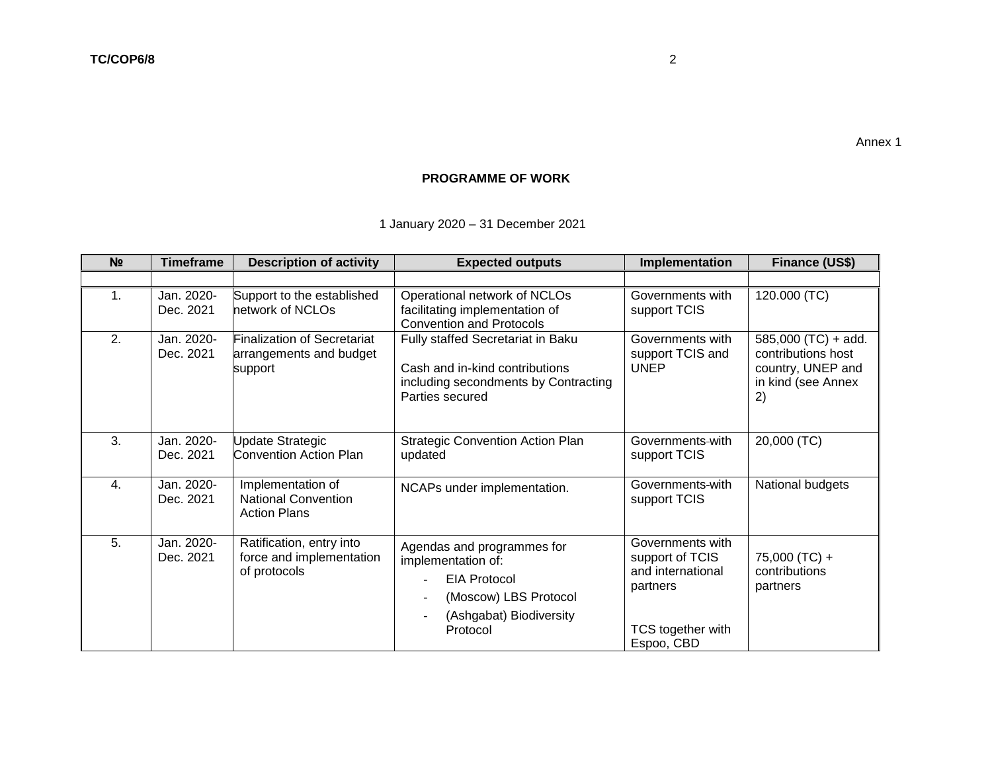# **PROGRAMME OF WORK**

1 January 2020 – 31 December 2021

| N <sub>2</sub> | <b>Timeframe</b>        | <b>Description of activity</b>                                           | <b>Expected outputs</b>                                                                                                                                             | Implementation                                                                                          | Finance (US\$)                                                                               |
|----------------|-------------------------|--------------------------------------------------------------------------|---------------------------------------------------------------------------------------------------------------------------------------------------------------------|---------------------------------------------------------------------------------------------------------|----------------------------------------------------------------------------------------------|
|                |                         |                                                                          |                                                                                                                                                                     |                                                                                                         |                                                                                              |
| 1.             | Jan. 2020-<br>Dec. 2021 | Support to the established<br>network of NCLOs                           | Operational network of NCLOs<br>facilitating implementation of<br><b>Convention and Protocols</b>                                                                   | Governments with<br>support TCIS                                                                        | 120.000 (TC)                                                                                 |
| 2.             | Jan. 2020-<br>Dec. 2021 | <b>Finalization of Secretariat</b><br>arrangements and budget<br>support | Fully staffed Secretariat in Baku<br>Cash and in-kind contributions<br>including secondments by Contracting<br>Parties secured                                      | Governments with<br>support TCIS and<br><b>UNEP</b>                                                     | $585,000$ (TC) + add.<br>contributions host<br>country, UNEP and<br>in kind (see Annex<br>2) |
| 3.             | Jan. 2020-<br>Dec. 2021 | <b>Update Strategic</b><br><b>Convention Action Plan</b>                 | <b>Strategic Convention Action Plan</b><br>updated                                                                                                                  | Governments-with<br>support TCIS                                                                        | 20,000 (TC)                                                                                  |
| 4.             | Jan. 2020-<br>Dec. 2021 | Implementation of<br><b>National Convention</b><br><b>Action Plans</b>   | NCAPs under implementation.                                                                                                                                         | Governments-with<br>support TCIS                                                                        | National budgets                                                                             |
| 5.             | Jan. 2020-<br>Dec. 2021 | Ratification, entry into<br>force and implementation<br>of protocols     | Agendas and programmes for<br>implementation of:<br><b>EIA Protocol</b><br>(Moscow) LBS Protocol<br>(Ashgabat) Biodiversity<br>$\overline{\phantom{a}}$<br>Protocol | Governments with<br>support of TCIS<br>and international<br>partners<br>TCS together with<br>Espoo, CBD | 75,000 (TC) +<br>contributions<br>partners                                                   |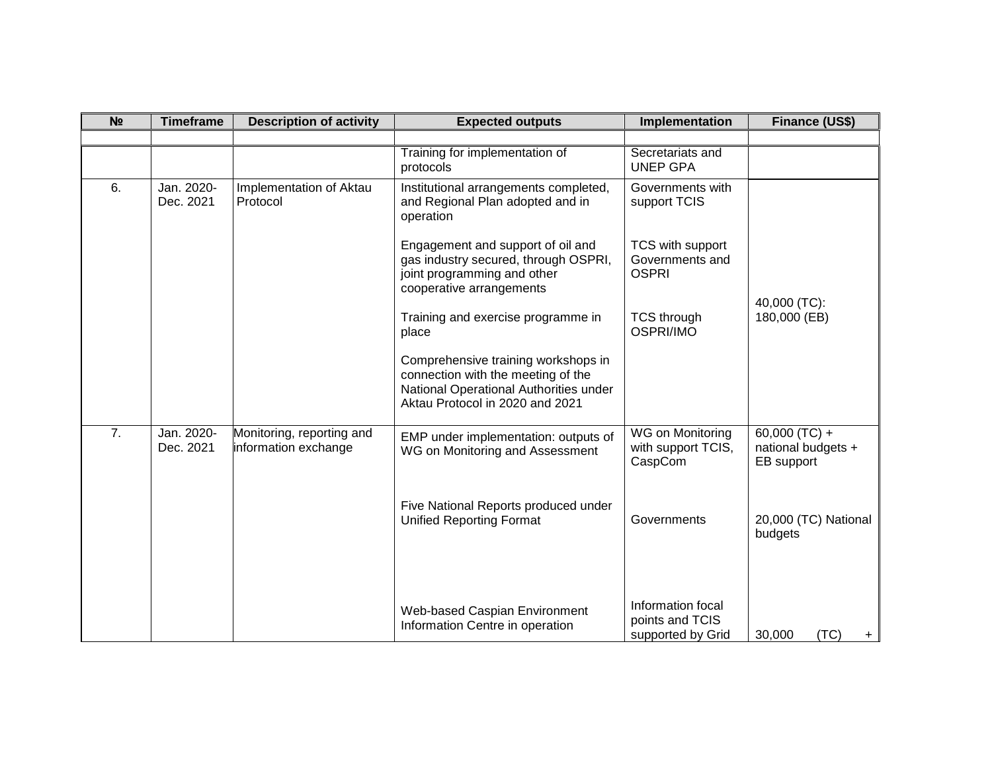| N <sub>2</sub> | <b>Timeframe</b>        | <b>Description of activity</b>                    | <b>Expected outputs</b>                                                                                                                                | Implementation                                            | Finance (US\$)                                    |  |
|----------------|-------------------------|---------------------------------------------------|--------------------------------------------------------------------------------------------------------------------------------------------------------|-----------------------------------------------------------|---------------------------------------------------|--|
|                |                         |                                                   |                                                                                                                                                        |                                                           |                                                   |  |
|                |                         |                                                   | Training for implementation of<br>protocols                                                                                                            | Secretariats and<br><b>UNEP GPA</b>                       |                                                   |  |
| 6.             | Jan. 2020-<br>Dec. 2021 | Implementation of Aktau<br>Protocol               | Institutional arrangements completed,<br>and Regional Plan adopted and in<br>operation                                                                 | Governments with<br>support TCIS                          |                                                   |  |
|                |                         |                                                   | Engagement and support of oil and<br>gas industry secured, through OSPRI,<br>joint programming and other<br>cooperative arrangements                   | TCS with support<br>Governments and<br><b>OSPRI</b>       | 40,000 (TC):                                      |  |
|                |                         |                                                   | Training and exercise programme in<br>place                                                                                                            | <b>TCS through</b><br>OSPRI/IMO                           | 180,000 (EB)                                      |  |
|                |                         |                                                   | Comprehensive training workshops in<br>connection with the meeting of the<br>National Operational Authorities under<br>Aktau Protocol in 2020 and 2021 |                                                           |                                                   |  |
| 7.             | Jan. 2020-<br>Dec. 2021 | Monitoring, reporting and<br>information exchange | EMP under implementation: outputs of<br>WG on Monitoring and Assessment                                                                                | WG on Monitoring<br>with support TCIS,<br>CaspCom         | 60,000 (TC) +<br>national budgets +<br>EB support |  |
|                |                         |                                                   | Five National Reports produced under<br><b>Unified Reporting Format</b>                                                                                | Governments                                               | 20,000 (TC) National<br>budgets                   |  |
|                |                         |                                                   | Web-based Caspian Environment<br>Information Centre in operation                                                                                       | Information focal<br>points and TCIS<br>supported by Grid | (TC)<br>30,000<br>$+$                             |  |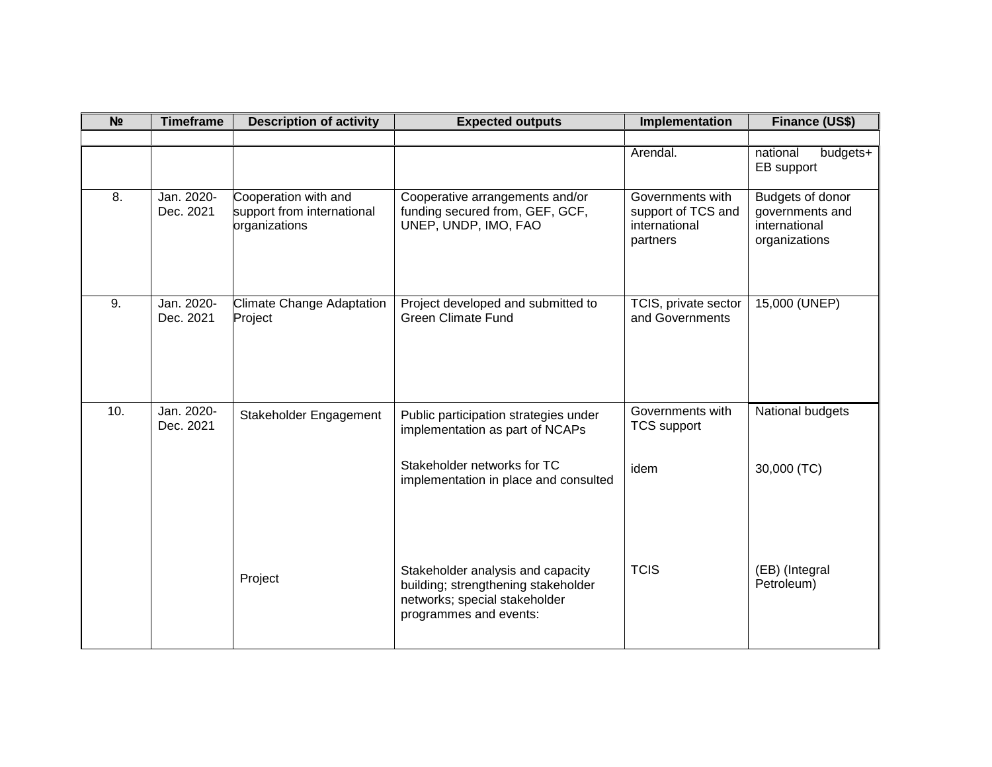| N <sub>2</sub>   | <b>Timeframe</b>        | <b>Description of activity</b>                                      | <b>Expected outputs</b>                                                                                                             | Implementation                                                      | Finance (US\$)                                                        |
|------------------|-------------------------|---------------------------------------------------------------------|-------------------------------------------------------------------------------------------------------------------------------------|---------------------------------------------------------------------|-----------------------------------------------------------------------|
|                  |                         |                                                                     |                                                                                                                                     |                                                                     |                                                                       |
|                  |                         |                                                                     |                                                                                                                                     | Arendal.                                                            | national<br>budgets+<br>EB support                                    |
| 8.               | Jan. 2020-<br>Dec. 2021 | Cooperation with and<br>support from international<br>organizations | Cooperative arrangements and/or<br>funding secured from, GEF, GCF,<br>UNEP, UNDP, IMO, FAO                                          | Governments with<br>support of TCS and<br>international<br>partners | Budgets of donor<br>governments and<br>international<br>organizations |
| $\overline{9}$ . | Jan. 2020-<br>Dec. 2021 | Climate Change Adaptation<br>Project                                | Project developed and submitted to<br><b>Green Climate Fund</b>                                                                     | TCIS, private sector<br>and Governments                             | 15,000 (UNEP)                                                         |
| 10.              | Jan. 2020-<br>Dec. 2021 | Stakeholder Engagement                                              | Public participation strategies under<br>implementation as part of NCAPs                                                            | Governments with<br><b>TCS support</b>                              | National budgets                                                      |
|                  |                         |                                                                     | Stakeholder networks for TC<br>implementation in place and consulted                                                                | idem                                                                | 30,000 (TC)                                                           |
|                  |                         | Project                                                             | Stakeholder analysis and capacity<br>building; strengthening stakeholder<br>networks; special stakeholder<br>programmes and events: | <b>TCIS</b>                                                         | (EB) (Integral<br>Petroleum)                                          |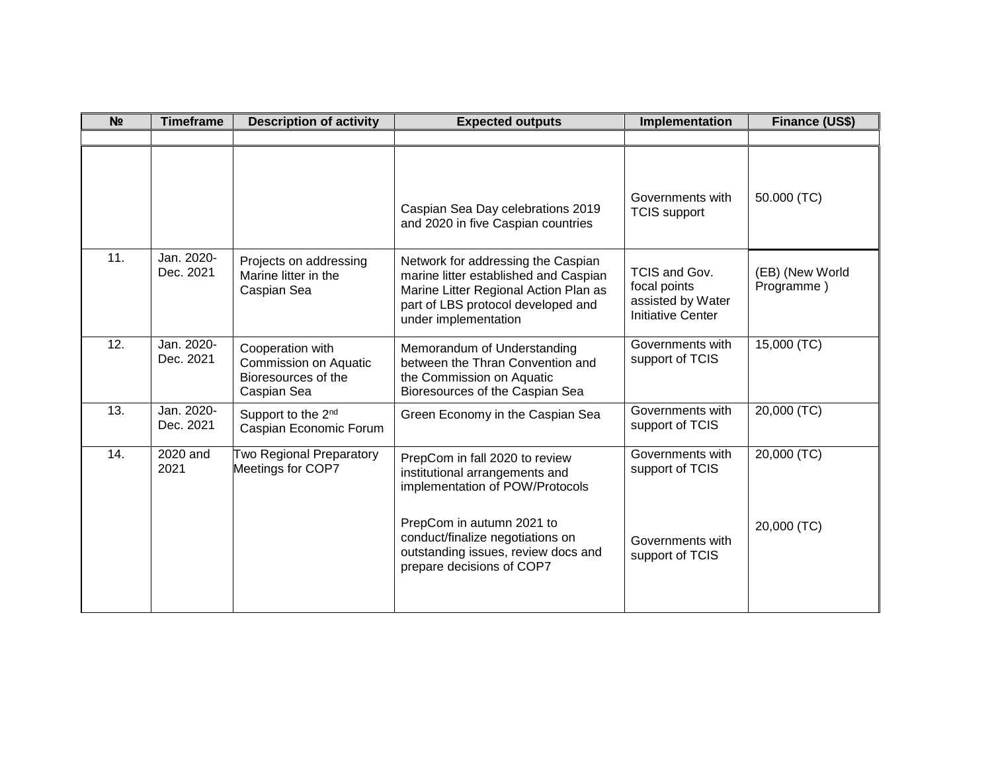| N <sub>o</sub> | <b>Timeframe</b>        | <b>Description of activity</b>                                                  | <b>Expected outputs</b>                                                                                                                                                            | Implementation                                                                 | Finance (US\$)                |
|----------------|-------------------------|---------------------------------------------------------------------------------|------------------------------------------------------------------------------------------------------------------------------------------------------------------------------------|--------------------------------------------------------------------------------|-------------------------------|
|                |                         |                                                                                 |                                                                                                                                                                                    |                                                                                |                               |
|                |                         |                                                                                 | Caspian Sea Day celebrations 2019<br>and 2020 in five Caspian countries                                                                                                            | Governments with<br><b>TCIS</b> support                                        | 50.000 (TC)                   |
| 11.            | Jan. 2020-<br>Dec. 2021 | Projects on addressing<br>Marine litter in the<br>Caspian Sea                   | Network for addressing the Caspian<br>marine litter established and Caspian<br>Marine Litter Regional Action Plan as<br>part of LBS protocol developed and<br>under implementation | TCIS and Gov.<br>focal points<br>assisted by Water<br><b>Initiative Center</b> | (EB) (New World<br>Programme) |
| 12.            | Jan. 2020-<br>Dec. 2021 | Cooperation with<br>Commission on Aquatic<br>Bioresources of the<br>Caspian Sea | Memorandum of Understanding<br>between the Thran Convention and<br>the Commission on Aquatic<br>Bioresources of the Caspian Sea                                                    | Governments with<br>support of TCIS                                            | $15,000$ (TC)                 |
| 13.            | Jan. 2020-<br>Dec. 2021 | Support to the 2 <sup>nd</sup><br>Caspian Economic Forum                        | Green Economy in the Caspian Sea                                                                                                                                                   | Governments with<br>support of TCIS                                            | $20,000$ (TC)                 |
| 14.            | 2020 and<br>2021        | Two Regional Preparatory<br>Meetings for COP7                                   | PrepCom in fall 2020 to review<br>institutional arrangements and<br>implementation of POW/Protocols                                                                                | Governments with<br>support of TCIS                                            | 20,000 (TC)                   |
|                |                         |                                                                                 | PrepCom in autumn 2021 to<br>conduct/finalize negotiations on<br>outstanding issues, review docs and<br>prepare decisions of COP7                                                  | Governments with<br>support of TCIS                                            | 20,000 (TC)                   |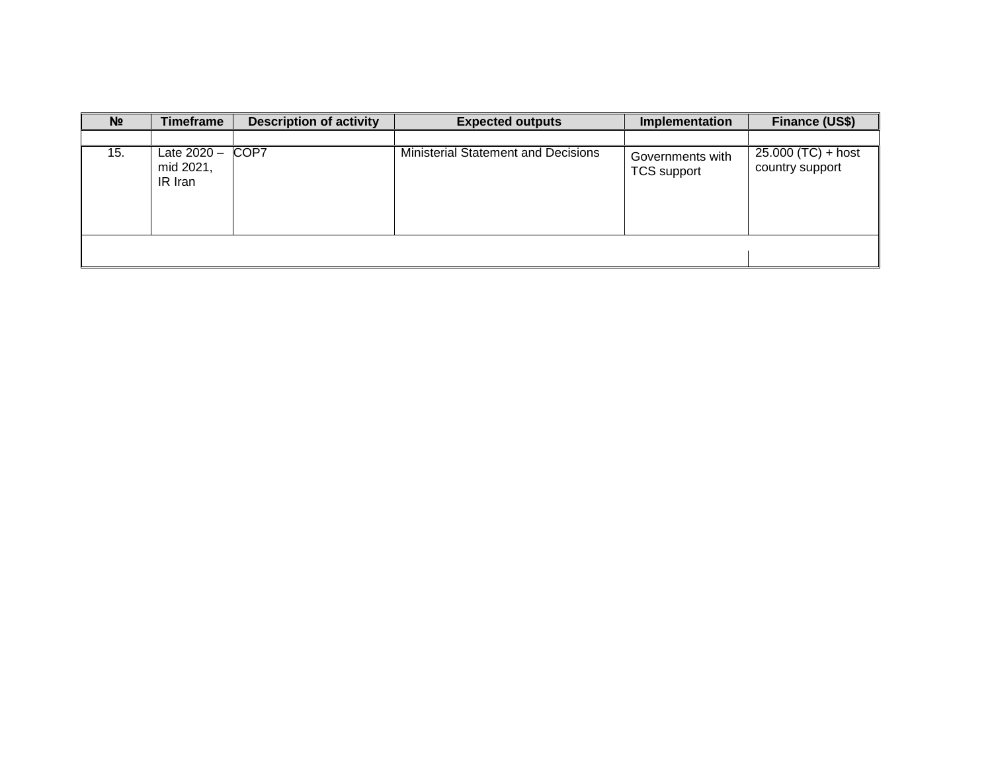| N <sub>2</sub> | <b>Timeframe</b>                    | <b>Description of activity</b> | <b>Expected outputs</b>                    | Implementation                         | Finance (US\$)                          |
|----------------|-------------------------------------|--------------------------------|--------------------------------------------|----------------------------------------|-----------------------------------------|
|                |                                     |                                |                                            |                                        |                                         |
| 15.            | Late 2020 -<br>mid 2021,<br>IR Iran | COP7                           | <b>Ministerial Statement and Decisions</b> | Governments with<br><b>TCS</b> support | $25.000 (TC) + host$<br>country support |
|                |                                     |                                |                                            |                                        |                                         |